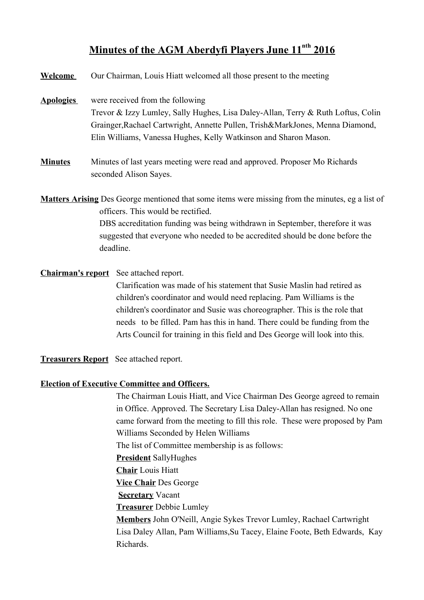## **M inutes of the AGM Aberdyfi Players June 11nth 2016**

| <b>Welcome</b>   | Our Chairman, Louis Hiatt welcomed all those present to the meeting                                                                                                                                                                                                                                                         |
|------------------|-----------------------------------------------------------------------------------------------------------------------------------------------------------------------------------------------------------------------------------------------------------------------------------------------------------------------------|
| <b>Apologies</b> | were received from the following<br>Trevor & Izzy Lumley, Sally Hughes, Lisa Daley-Allan, Terry & Ruth Loftus, Colin<br>Grainger, Rachael Cartwright, Annette Pullen, Trish&MarkJones, Menna Diamond,<br>Elin Williams, Vanessa Hughes, Kelly Watkinson and Sharon Mason.                                                   |
| <b>Minutes</b>   | Minutes of last years meeting were read and approved. Proposer Mo Richards<br>seconded Alison Sayes.                                                                                                                                                                                                                        |
|                  | <b>Matters Arising</b> Des George mentioned that some items were missing from the minutes, eg a list of<br>officers. This would be rectified.<br>DBS accreditation funding was being withdrawn in September, therefore it was<br>suggested that everyone who needed to be accredited should be done before the<br>deadline. |
|                  | <b>Chairman's report</b> See attached report.                                                                                                                                                                                                                                                                               |

Clarification was made of his statement that Susie Maslin had retired as children's coordinator and would need replacing. Pam Williams is the children's coordinator and Susie was choreographer. This is the role that needs to be filled. Pam has this in hand. There could be funding from the Arts Council for training in this field and Des George will look into this.

**Treasurers Report** See attached report.

## **Election of Executive Committee and Officers.**

The Chairman Louis Hiatt, and Vice Chairman Des George agreed to remain in Office. Approved. The Secretary Lisa Daley-Allan has resigned. No one came forward from the meeting to fill this role. These were proposed by Pam Williams Seconded by Helen Williams The list of Committee membership is as follows: **President** SallyHughes **Chair** Louis Hiatt **Vice Chair** Des George **Secretary** Vacant **Treasurer** Debbie Lumley **Members** John O'Neill, Angie Sykes Trevor Lumley, Rachael Cartwright Lisa Daley Allan, Pam Williams,Su Tacey, Elaine Foote, Beth Edwards, Kay Richards.